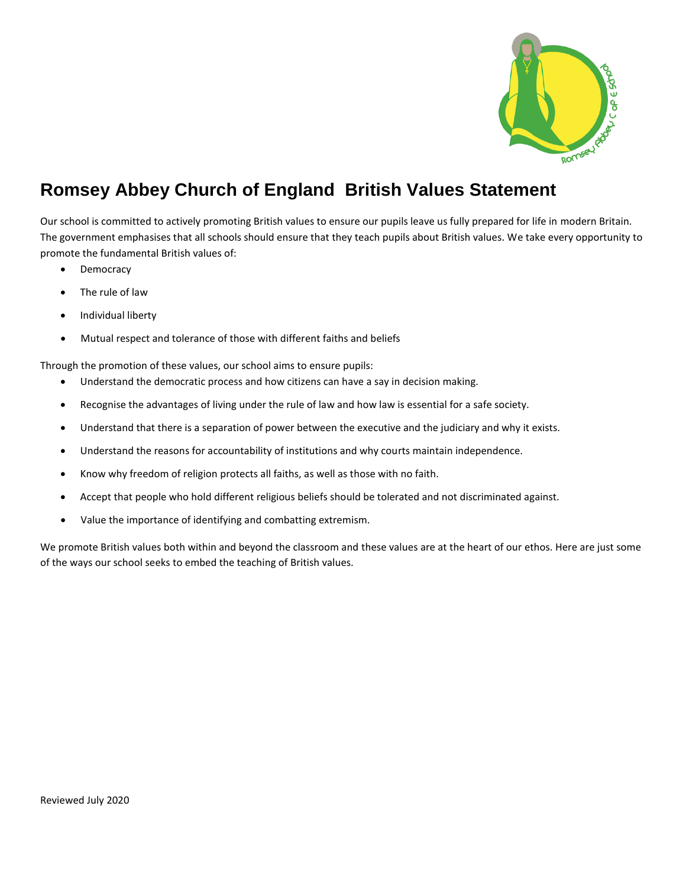

## **Romsey Abbey Church of England British Values Statement**

Our school is committed to actively promoting British values to ensure our pupils leave us fully prepared for life in modern Britain. The government emphasises that all schools should ensure that they teach pupils about British values. We take every opportunity to promote the fundamental British values of:

- Democracy
- The rule of law
- Individual liberty
- Mutual respect and tolerance of those with different faiths and beliefs

Through the promotion of these values, our school aims to ensure pupils:

- Understand the democratic process and how citizens can have a say in decision making.
- Recognise the advantages of living under the rule of law and how law is essential for a safe society.
- Understand that there is a separation of power between the executive and the judiciary and why it exists.
- Understand the reasons for accountability of institutions and why courts maintain independence.
- Know why freedom of religion protects all faiths, as well as those with no faith.
- Accept that people who hold different religious beliefs should be tolerated and not discriminated against.
- Value the importance of identifying and combatting extremism.

We promote British values both within and beyond the classroom and these values are at the heart of our ethos. Here are just some of the ways our school seeks to embed the teaching of British values.